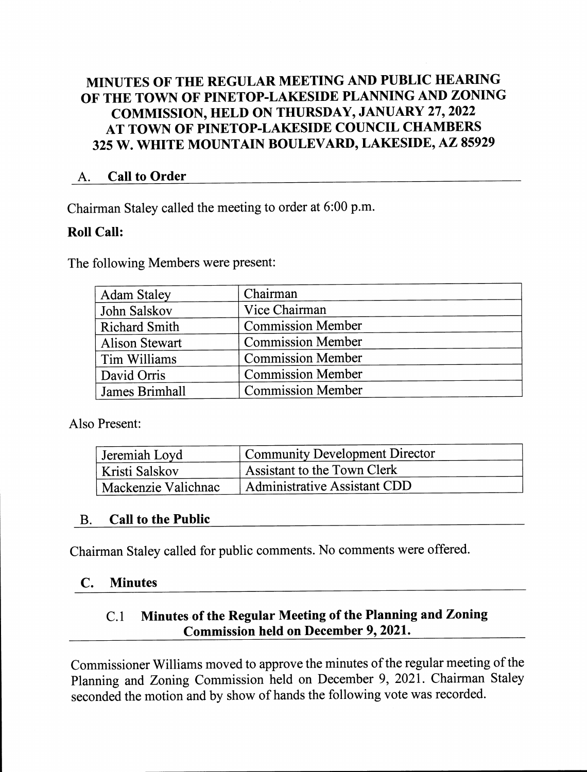### MINUTES 0F THE REGULAR MEETING AND PUBLIC HEARING 0F THE TOWN OF PINETOP-LAKESIDE PLANNING AND ZONING COMMISSION, HELD 0N THURSDAY, JANUARY 27, 2022 AT TOWN OF PINETOP-LAKESIDE COUNCIL CHAMBERS 325 W. WHITE MOUNTAIN BOULEVARD, LAKESIDE, AZ 85929

#### A. Call to Order

Chairman Staley called the meeting to order at 6:00 p.m.

### Roll Call:

The following Members were present:

| <b>Adam Staley</b>    | Chairman                 |
|-----------------------|--------------------------|
| John Salskov          | Vice Chairman            |
| <b>Richard Smith</b>  | <b>Commission Member</b> |
| <b>Alison Stewart</b> | <b>Commission Member</b> |
| Tim Williams          | <b>Commission Member</b> |
| David Orris           | <b>Commission Member</b> |
| James Brimhall        | <b>Commission Member</b> |

Also Present:

| Jeremiah Loyd                    | Community Development Director      |  |  |
|----------------------------------|-------------------------------------|--|--|
| Kristi Salskov                   | Assistant to the Town Clerk         |  |  |
| <sup>I</sup> Mackenzie Valichnac | <b>Administrative Assistant CDD</b> |  |  |

#### B. Call to the Public

Chairman Staley called for public comments. No comments were offered.

#### C. Minutes

### C.1 Minutes of the Regular Meeting of the Planning and Zoning Commission held on December 9, 2021.

Commissioner Williams moved to approve the minutes of the regular meeting of the Planning and Zoning Commission held on December 9, 2021. Chairman Staley seconded the motion and by show of hands the following vote was recorded.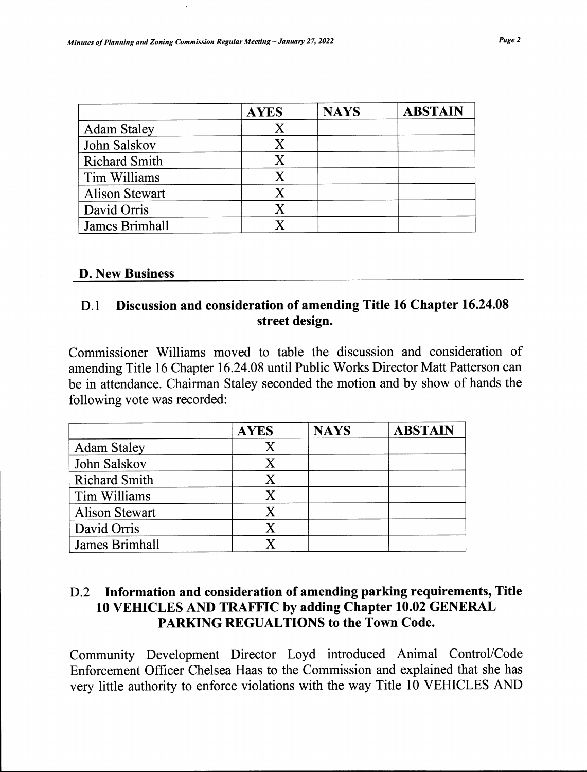|                       | <b>AYES</b>               | <b>NAYS</b> | <b>ABSTAIN</b> |
|-----------------------|---------------------------|-------------|----------------|
| <b>Adam Staley</b>    | X                         |             |                |
| John Salskov          | X                         |             |                |
| <b>Richard Smith</b>  | X                         |             |                |
| Tim Williams          | $\boldsymbol{\mathrm{X}}$ |             |                |
| <b>Alison Stewart</b> | $\mathbf{X}$              |             |                |
| David Orris           | X                         |             |                |
| James Brimhall        |                           |             |                |

#### D. New Business

#### D.1 Discussion and consideration of amending Title 16 Chapter 16.24.08 street design.

Commissioner Williams moved to table the discussion and consideration of amending Title 16 Chapter 16.24.08 until Public Works Director Matt Patterson can be in attendance. Chairman Staley seconded the motion and by show of hands the following vote was recorded:

|                       | <b>AYES</b>               | <b>NAYS</b> | <b>ABSTAIN</b> |
|-----------------------|---------------------------|-------------|----------------|
| <b>Adam Staley</b>    | Χ                         |             |                |
| John Salskov          | $\mathbf X$               |             |                |
| <b>Richard Smith</b>  | $\boldsymbol{\mathrm{X}}$ |             |                |
| Tim Williams          | X                         |             |                |
| <b>Alison Stewart</b> | X                         |             |                |
| David Orris           | $\boldsymbol{\mathsf{X}}$ |             |                |
| James Brimhall        |                           |             |                |

#### D.2 Information and consideration of amending parking requirements, Title 10 VEHICLES AND TRAFFIC by adding Chapter 10.02 GENERAL PARKING REGUALTI0NS to the Town Code.

Community Development Director Loyd introduced Animal Control/Code Enforcement Officer Chelsea Haas to the Commission and explained that she has very little authority to enforce violations with the way Title 10 VEHICLES AND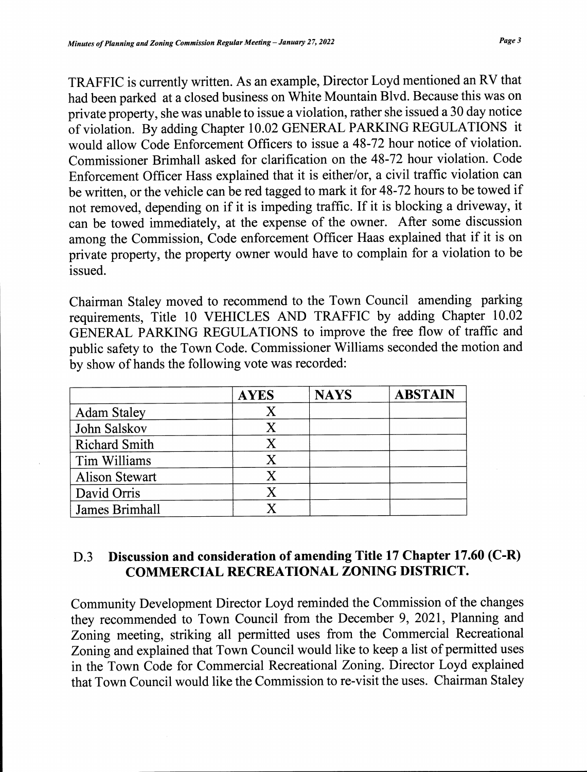TRAFFIC is currently written. As an example, Director Loyd mentioned an RV that had been parked at a closed business on White Mountain Blvd. Because this was on private property, she was unable to issue a violation, rather she issued a 30 day notice of violation. By adding Chapter 10.02 GENERAL PARKING REGULATIONS it would allow Code Enforcement Officers to issue a 48-72 hour notice of violation. Commissioner Brimhall asked for clarification on the 48-72 hour violation. Code Enforcement Officer Hass explained that it is either/or, a civil traffic violation can be written, or the vehicle can be red tagged to mark it for 48-72 hours to be towed if not removed, depending on if it is impeding traffic. If it is blocking a driveway, it can be towed immediately, at the expense of the owner. After some discussion among the Commission, Code enforcement Officer Haas explained that if it is on private property, the property owner would have to complain for a violation to be issued.

Chairman Staley moved to recommend to the Town Council amending parking requirements, Title 10 VEHICLES AND TRAFFIC by adding Chapter 10.02 GENERAL PARKING REGULATIONS to improve the free flow of traffic and public safety to the Town Code. Commissioner Williams seconded the motion and by show of hands the following vote was recorded:

|                       | <b>AYES</b>               | <b>NAYS</b> | <b>ABSTAIN</b> |
|-----------------------|---------------------------|-------------|----------------|
| <b>Adam Staley</b>    | X                         |             |                |
| John Salskov          | Χ                         |             |                |
| <b>Richard Smith</b>  | X                         |             |                |
| Tim Williams          | X                         |             |                |
| <b>Alison Stewart</b> | X                         |             |                |
| David Orris           | $\boldsymbol{\mathrm{X}}$ |             |                |
| James Brimhall        |                           |             |                |

## D.3 Discussion and consideration of amending Title 17 Chapter 17.60 (C-R) COMMERCIAL RECREATIONAL ZONING DISTRICT.

Community Development Director Loyd reminded the Commission of the changes they recommended to Town Council from the December 9, 2021, Plaming and Zoning meeting, striking all permitted uses from the Commercial Recreational Zoning and explained that Town Council would like to keep a list of permitted uses in the Town Code for Commercial Recreational Zoning. Director Loyd explained that Town Council would like the Commission to re-visit the uses. Chairman Staley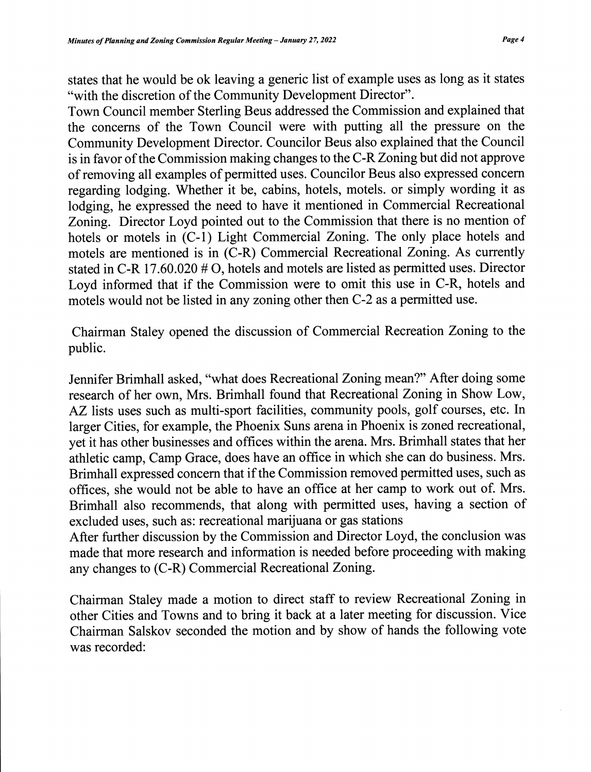states that he would be ok leaving a generic list of example uses as long as it states "with the discretion of the Community Development Director".

Town Council member Sterling Beus addressed the Commission and explained that the concerns of the Town Council were with putting all the pressure on the Community Development Director. Councilor Beus also explained that the Council is in favor of the Commission making changes to the C-R Zoning but did not approve of removing all examples of permitted uses. Councilor Beus also expressed concern regarding lodging. Whether it be, cabins, hotels, motels. or simply wording it as lodging, he expressed the need to have it mentioned in Commercial Recreational Zoning. Director Loyd pointed out to the Commission that there is no mention of hotels or motels in  $(C-1)$  Light Commercial Zoning. The only place hotels and motels are mentioned is in (C-R) Commercial Recreational Zoning. As currently stated in C-R 17.60.020 # 0, hotels and motels are listed as permitted uses. Director Loyd informed that if the Commission were to omit this use in C-R, hotels and motels would not be listed in any zoning other then C-2 as a permitted use.

Chairman Staley opened the discussion of Commercial Recreation Zoning to the public.

Jennifer Brimhall asked, "what does Recreational Zoning mean?" After doing some research of her own, Mrs. Brimhall found that Recreational Zoning in Show Low, AZ lists uses such as multi-sport facilities, community pools, golf courses, etc. In larger Cities, for example, the Phoenix Sums arena in Phoenix is zoned recreational, yet it has other businesses and offices within the arena. Mrs. Brimhall states that her athletic camp, Camp Grace, does have an office in which she can do business. Mrs. Brimhall expressed concern that if the Commission removed permitted uses, such as offices, she would not be able to have an office at her camp to work out of. Mrs. Brimhall also recommends, that along with permitted uses, having a section of excluded uses, such as: recreational marijuana or gas stations

After further discussion by the Commission and Director Loyd, the conclusion was made that more research and information is needed before proceeding with making any changes to (C-R) Commercial Recreational Zoning.

Chairman Staley made a motion to direct staff to review Recreational Zoning in other Cities and Towns and to bring it back at a later meeting for discussion. Vice Chairman Salskov seconded the motion and by show of hands the following vote was recorded: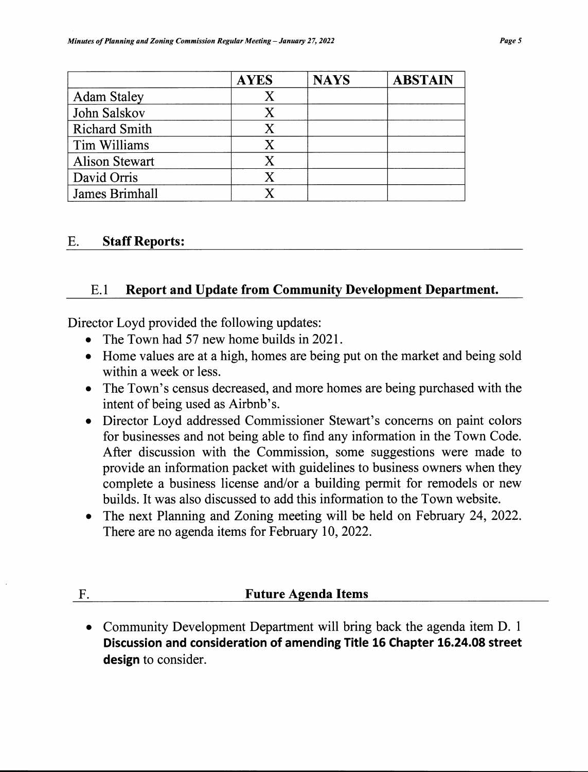|                       | <b>AYES</b>               | <b>NAYS</b> | <b>ABSTAIN</b> |
|-----------------------|---------------------------|-------------|----------------|
| <b>Adam Staley</b>    | Х                         |             |                |
| John Salskov          | X                         |             |                |
| <b>Richard Smith</b>  | $\boldsymbol{\mathrm{X}}$ |             |                |
| Tim Williams          | X                         |             |                |
| <b>Alison Stewart</b> | $\mathbf X$               |             |                |
| David Orris           | X                         |             |                |
| James Brimhall        |                           |             |                |

#### E. Staff Reports:

#### E.1 Report and Update from Community Development Department.

Director Loyd provided the following updates:

- The Town had 57 new home builds in 2021.
- Home values are at a high, homes are being put on the market and being sold within a week or less.
- The Town's census decreased, and more homes are being purchased with the intent of being used as Airbnb's.
- Director Loyd addressed Commissioner Stewart's concerns on paint colors for businesses and not being able to find any information in the Town Code. After discussion with the Commission, some suggestions were made to provide an information packet with guidelines to business owners when they complete a business license and/or a building permit for remodels or new builds. It was also discussed to add this information to the Town website.
- The next Planning and Zoning meeting will be held on February 24, 2022. There are no agenda items for February 10, 2022.

#### F. **Future Agenda Items**

• Community Development Department will bring back the agenda item D. 1 Discussion and consideration of amending Title 16 Chapter 16.24.08 street design to consider.